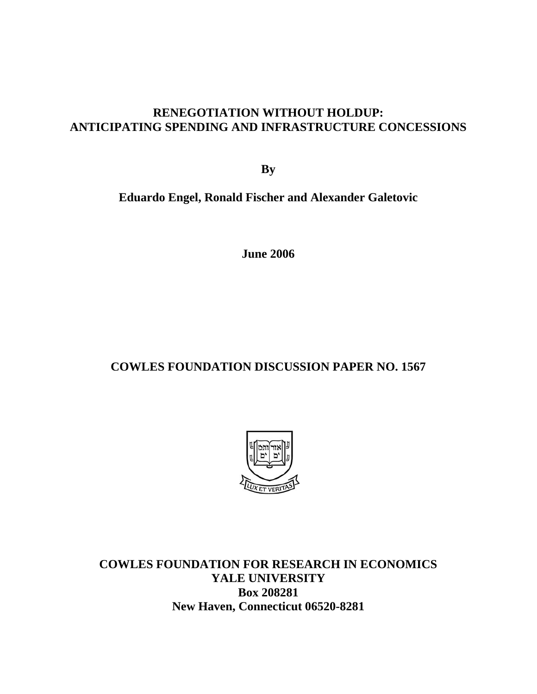### **RENEGOTIATION WITHOUT HOLDUP: ANTICIPATING SPENDING AND INFRASTRUCTURE CONCESSIONS**

**By** 

**Eduardo Engel, Ronald Fischer and Alexander Galetovic** 

**June 2006** 

# **COWLES FOUNDATION DISCUSSION PAPER NO. 1567**



**COWLES FOUNDATION FOR RESEARCH IN ECONOMICS YALE UNIVERSITY Box 208281 New Haven, Connecticut 06520-8281**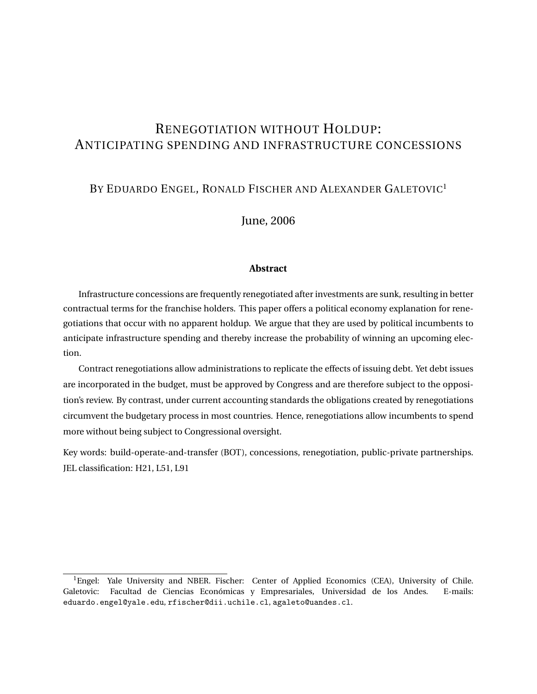## RENEGOTIATION WITHOUT HOLDUP: ANTICIPATING SPENDING AND INFRASTRUCTURE CONCESSIONS

### BY EDUARDO ENGEL, RONALD FISCHER AND ALEXANDER GALETOVIC<sup>1</sup>

June, 2006

#### **Abstract**

Infrastructure concessions are frequently renegotiated after investments are sunk, resulting in better contractual terms for the franchise holders. This paper offers a political economy explanation for renegotiations that occur with no apparent holdup. We argue that they are used by political incumbents to anticipate infrastructure spending and thereby increase the probability of winning an upcoming election.

Contract renegotiations allow administrations to replicate the effects of issuing debt. Yet debt issues are incorporated in the budget, must be approved by Congress and are therefore subject to the opposition's review. By contrast, under current accounting standards the obligations created by renegotiations circumvent the budgetary process in most countries. Hence, renegotiations allow incumbents to spend more without being subject to Congressional oversight.

Key words: build-operate-and-transfer (BOT), concessions, renegotiation, public-private partnerships. JEL classification: H21, L51, L91

<sup>&</sup>lt;sup>1</sup>Engel: Yale University and NBER. Fischer: Center of Applied Economics (CEA), University of Chile. Galetovic: Facultad de Ciencias Económicas y Empresariales, Universidad de los Andes. E-mails: eduardo.engel@yale.edu, rfischer@dii.uchile.cl, agaleto@uandes.cl.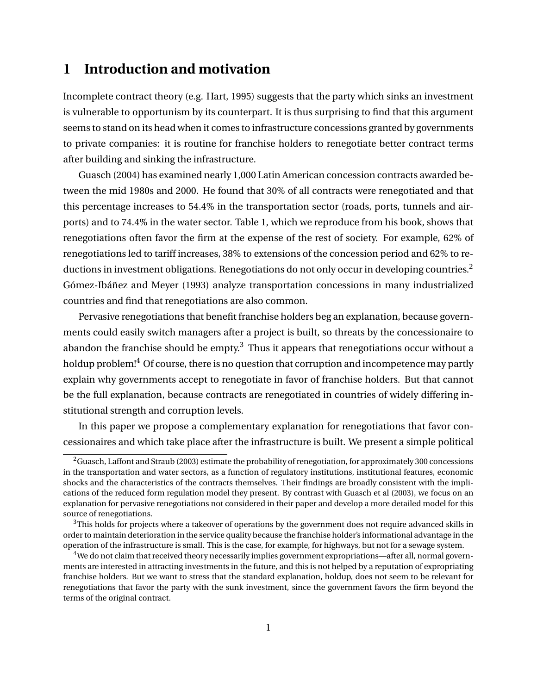## **1 Introduction and motivation**

Incomplete contract theory (e.g. Hart, 1995) suggests that the party which sinks an investment is vulnerable to opportunism by its counterpart. It is thus surprising to find that this argument seems to stand on its head when it comes to infrastructure concessions granted by governments to private companies: it is routine for franchise holders to renegotiate better contract terms after building and sinking the infrastructure.

Guasch (2004) has examined nearly 1,000 Latin American concession contracts awarded between the mid 1980s and 2000. He found that 30% of all contracts were renegotiated and that this percentage increases to 54.4% in the transportation sector (roads, ports, tunnels and airports) and to 74.4% in the water sector. Table 1, which we reproduce from his book, shows that renegotiations often favor the firm at the expense of the rest of society. For example, 62% of renegotiations led to tariff increases, 38% to extensions of the concession period and 62% to reductions in investment obligations. Renegotiations do not only occur in developing countries.<sup>2</sup> Gómez-Ibáñez and Meyer (1993) analyze transportation concessions in many industrialized countries and find that renegotiations are also common.

Pervasive renegotiations that benefit franchise holders beg an explanation, because governments could easily switch managers after a project is built, so threats by the concessionaire to abandon the franchise should be  $empty<sup>3</sup>$  Thus it appears that renegotiations occur without a holdup problem!<sup>4</sup> Of course, there is no question that corruption and incompetence may partly explain why governments accept to renegotiate in favor of franchise holders. But that cannot be the full explanation, because contracts are renegotiated in countries of widely differing institutional strength and corruption levels.

In this paper we propose a complementary explanation for renegotiations that favor concessionaires and which take place after the infrastructure is built. We present a simple political

 $2$ Guasch, Laffont and Straub (2003) estimate the probability of renegotiation, for approximately 300 concessions in the transportation and water sectors, as a function of regulatory institutions, institutional features, economic shocks and the characteristics of the contracts themselves. Their findings are broadly consistent with the implications of the reduced form regulation model they present. By contrast with Guasch et al (2003), we focus on an explanation for pervasive renegotiations not considered in their paper and develop a more detailed model for this source of renegotiations.

 $3$ This holds for projects where a takeover of operations by the government does not require advanced skills in order to maintain deterioration in the service quality because the franchise holder's informational advantage in the operation of the infrastructure is small. This is the case, for example, for highways, but not for a sewage system.

<sup>4</sup>We do not claim that received theory necessarily implies government expropriations—after all, normal governments are interested in attracting investments in the future, and this is not helped by a reputation of expropriating franchise holders. But we want to stress that the standard explanation, holdup, does not seem to be relevant for renegotiations that favor the party with the sunk investment, since the government favors the firm beyond the terms of the original contract.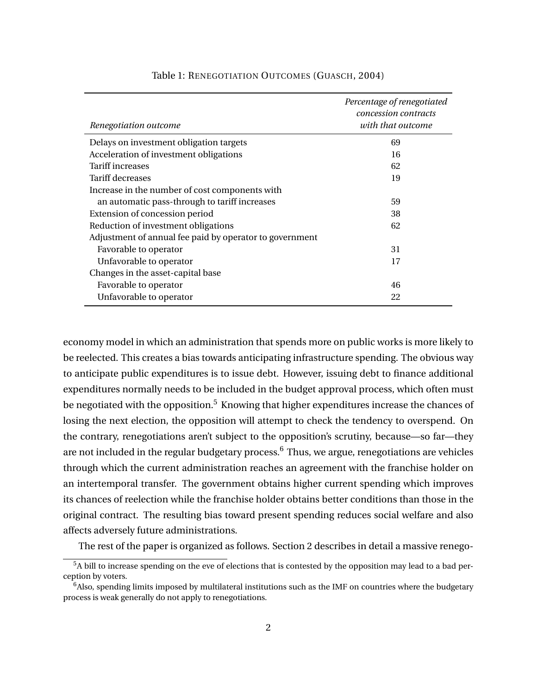| Renegotiation outcome                                   | Percentage of renegotiated<br>concession contracts<br>with that outcome |
|---------------------------------------------------------|-------------------------------------------------------------------------|
| Delays on investment obligation targets                 | 69                                                                      |
| Acceleration of investment obligations                  | 16                                                                      |
| Tariff increases                                        | 62                                                                      |
| Tariff decreases                                        | 19                                                                      |
| Increase in the number of cost components with          |                                                                         |
| an automatic pass-through to tariff increases           | 59                                                                      |
| Extension of concession period                          | 38                                                                      |
| Reduction of investment obligations                     | 62                                                                      |
| Adjustment of annual fee paid by operator to government |                                                                         |
| Favorable to operator                                   | 31                                                                      |
| Unfavorable to operator                                 | 17                                                                      |
| Changes in the asset-capital base                       |                                                                         |
| Favorable to operator                                   | 46                                                                      |
| Unfavorable to operator                                 | 22                                                                      |

#### Table 1: RENEGOTIATION OUTCOMES (GUASCH, 2004)

economy model in which an administration that spends more on public works is more likely to be reelected. This creates a bias towards anticipating infrastructure spending. The obvious way to anticipate public expenditures is to issue debt. However, issuing debt to finance additional expenditures normally needs to be included in the budget approval process, which often must be negotiated with the opposition.<sup>5</sup> Knowing that higher expenditures increase the chances of losing the next election, the opposition will attempt to check the tendency to overspend. On the contrary, renegotiations aren't subject to the opposition's scrutiny, because—so far—they are not included in the regular budgetary process.<sup>6</sup> Thus, we argue, renegotiations are vehicles through which the current administration reaches an agreement with the franchise holder on an intertemporal transfer. The government obtains higher current spending which improves its chances of reelection while the franchise holder obtains better conditions than those in the original contract. The resulting bias toward present spending reduces social welfare and also affects adversely future administrations.

The rest of the paper is organized as follows. Section 2 describes in detail a massive renego-

<sup>&</sup>lt;sup>5</sup>A bill to increase spending on the eve of elections that is contested by the opposition may lead to a bad perception by voters.

 $\hat{f}^6$ Also, spending limits imposed by multilateral institutions such as the IMF on countries where the budgetary process is weak generally do not apply to renegotiations.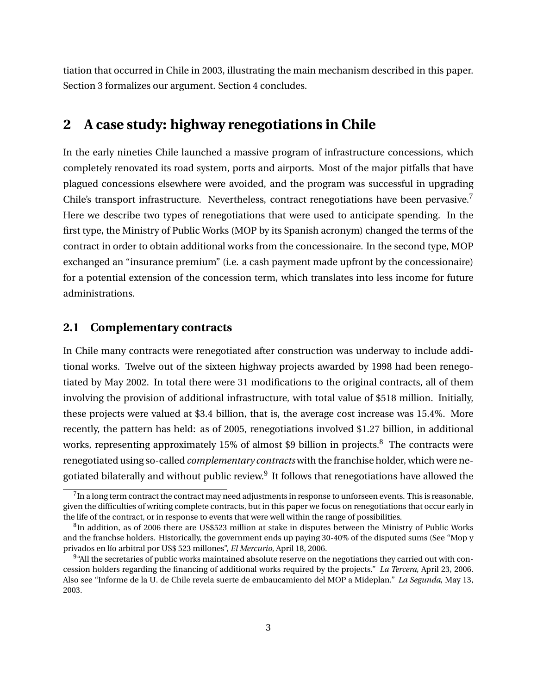tiation that occurred in Chile in 2003, illustrating the main mechanism described in this paper. Section 3 formalizes our argument. Section 4 concludes.

### **2 A case study: highway renegotiations in Chile**

In the early nineties Chile launched a massive program of infrastructure concessions, which completely renovated its road system, ports and airports. Most of the major pitfalls that have plagued concessions elsewhere were avoided, and the program was successful in upgrading Chile's transport infrastructure. Nevertheless, contract renegotiations have been pervasive.<sup>7</sup> Here we describe two types of renegotiations that were used to anticipate spending. In the first type, the Ministry of Public Works (MOP by its Spanish acronym) changed the terms of the contract in order to obtain additional works from the concessionaire. In the second type, MOP exchanged an "insurance premium" (i.e. a cash payment made upfront by the concessionaire) for a potential extension of the concession term, which translates into less income for future administrations.

### **2.1 Complementary contracts**

In Chile many contracts were renegotiated after construction was underway to include additional works. Twelve out of the sixteen highway projects awarded by 1998 had been renegotiated by May 2002. In total there were 31 modifications to the original contracts, all of them involving the provision of additional infrastructure, with total value of \$518 million. Initially, these projects were valued at \$3.4 billion, that is, the average cost increase was 15.4%. More recently, the pattern has held: as of 2005, renegotiations involved \$1.27 billion, in additional works, representing approximately 15% of almost \$9 billion in projects.<sup>8</sup> The contracts were renegotiated using so-called *complementary contracts* with the franchise holder, which were negotiated bilaterally and without public review. $^9$  It follows that renegotiations have allowed the

 $^{7}$ In a long term contract the contract may need adjustments in response to unforseen events. This is reasonable, given the difficulties of writing complete contracts, but in this paper we focus on renegotiations that occur early in the life of the contract, or in response to events that were well within the range of possibilities.

 ${}^{8}$ In addition, as of 2006 there are US\$523 million at stake in disputes between the Ministry of Public Works and the franchse holders. Historically, the government ends up paying 30-40% of the disputed sums (See "Mop y privados en lío arbitral por US\$ 523 millones", *El Mercurio*, April 18, 2006.

 $9$ "All the secretaries of public works maintained absolute reserve on the negotiations they carried out with concession holders regarding the financing of additional works required by the projects." *La Tercera*, April 23, 2006. Also see "Informe de la U. de Chile revela suerte de embaucamiento del MOP a Mideplan." *La Segunda*, May 13, 2003.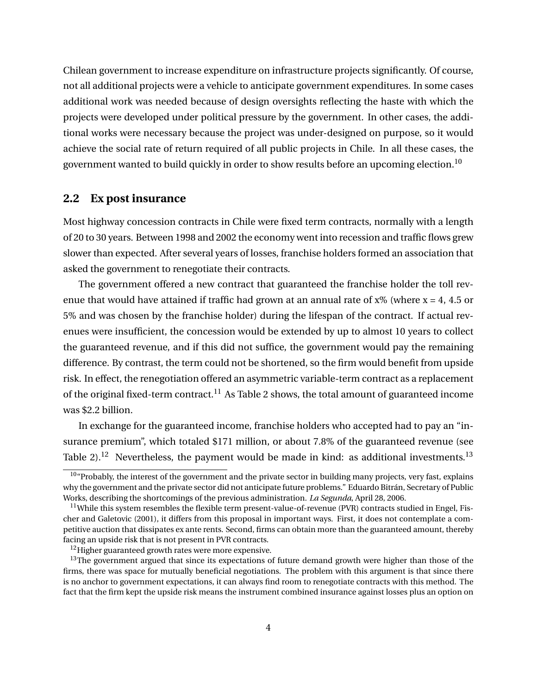Chilean government to increase expenditure on infrastructure projects significantly. Of course, not all additional projects were a vehicle to anticipate government expenditures. In some cases additional work was needed because of design oversights reflecting the haste with which the projects were developed under political pressure by the government. In other cases, the additional works were necessary because the project was under-designed on purpose, so it would achieve the social rate of return required of all public projects in Chile. In all these cases, the government wanted to build quickly in order to show results before an upcoming election.<sup>10</sup>

### **2.2 Ex post insurance**

Most highway concession contracts in Chile were fixed term contracts, normally with a length of 20 to 30 years. Between 1998 and 2002 the economy went into recession and traffic flows grew slower than expected. After several years of losses, franchise holders formed an association that asked the government to renegotiate their contracts.

The government offered a new contract that guaranteed the franchise holder the toll revenue that would have attained if traffic had grown at an annual rate of  $x\%$  (where  $x = 4$ , 4.5 or 5% and was chosen by the franchise holder) during the lifespan of the contract. If actual revenues were insufficient, the concession would be extended by up to almost 10 years to collect the guaranteed revenue, and if this did not suffice, the government would pay the remaining difference. By contrast, the term could not be shortened, so the firm would benefit from upside risk. In effect, the renegotiation offered an asymmetric variable-term contract as a replacement of the original fixed-term contract.<sup>11</sup> As Table 2 shows, the total amount of guaranteed income was \$2.2 billion.

In exchange for the guaranteed income, franchise holders who accepted had to pay an "insurance premium", which totaled \$171 million, or about 7.8% of the guaranteed revenue (see Table 2).<sup>12</sup> Nevertheless, the payment would be made in kind: as additional investments.<sup>13</sup>

 $\frac{10}{4}$  Probably, the interest of the government and the private sector in building many projects, very fast, explains why the government and the private sector did not anticipate future problems." Eduardo Bitrán, Secretary of Public Works, describing the shortcomings of the previous administration. *La Segunda*, April 28, 2006.

<sup>&</sup>lt;sup>11</sup>While this system resembles the flexible term present-value-of-revenue (PVR) contracts studied in Engel, Fischer and Galetovic (2001), it differs from this proposal in important ways. First, it does not contemplate a competitive auction that dissipates ex ante rents. Second, firms can obtain more than the guaranteed amount, thereby facing an upside risk that is not present in PVR contracts.

<sup>&</sup>lt;sup>12</sup>Higher guaranteed growth rates were more expensive.

<sup>&</sup>lt;sup>13</sup>The government argued that since its expectations of future demand growth were higher than those of the firms, there was space for mutually beneficial negotiations. The problem with this argument is that since there is no anchor to government expectations, it can always find room to renegotiate contracts with this method. The fact that the firm kept the upside risk means the instrument combined insurance against losses plus an option on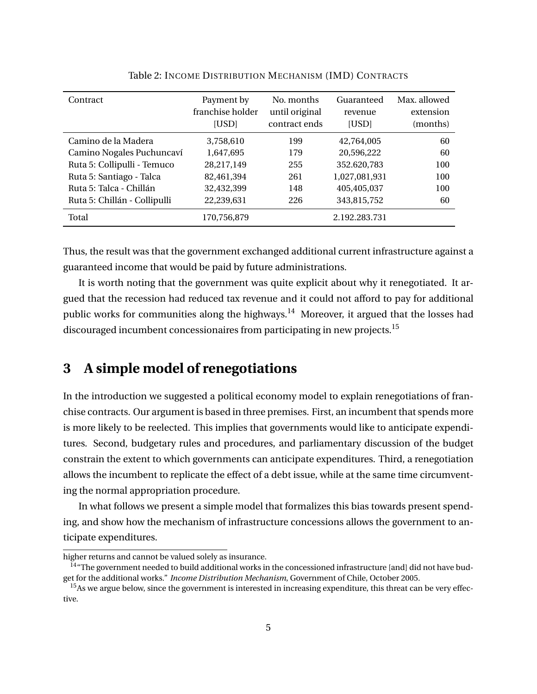| Contract                     | Payment by<br>franchise holder<br>[USD] | No. months<br>until original<br>contract ends | Guaranteed<br>revenue<br>[USD] | Max. allowed<br>extension<br>(months) |
|------------------------------|-----------------------------------------|-----------------------------------------------|--------------------------------|---------------------------------------|
| Camino de la Madera          | 3,758,610                               | 199                                           | 42,764,005                     | 60                                    |
| Camino Nogales Puchuncaví    | 1,647,695                               | 179                                           | 20,596,222                     | 60                                    |
| Ruta 5: Collipulli - Temuco  | 28,217,149                              | 255                                           | 352.620,783                    | 100                                   |
| Ruta 5: Santiago - Talca     | 82,461,394                              | 261                                           | 1,027,081,931                  | 100                                   |
| Ruta 5: Talca - Chillán      | 32,432,399                              | 148                                           | 405,405,037                    | 100                                   |
| Ruta 5: Chillán - Collipulli | 22,239,631                              | 226                                           | 343,815,752                    | 60                                    |
| Total                        | 170,756,879                             |                                               | 2.192.283.731                  |                                       |

Table 2: INCOME DISTRIBUTION MECHANISM (IMD) CONTRACTS

Thus, the result was that the government exchanged additional current infrastructure against a guaranteed income that would be paid by future administrations.

It is worth noting that the government was quite explicit about why it renegotiated. It argued that the recession had reduced tax revenue and it could not afford to pay for additional public works for communities along the highways.<sup>14</sup> Moreover, it argued that the losses had discouraged incumbent concessionaires from participating in new projects.<sup>15</sup>

## **3 A simple model of renegotiations**

In the introduction we suggested a political economy model to explain renegotiations of franchise contracts. Our argument is based in three premises. First, an incumbent that spends more is more likely to be reelected. This implies that governments would like to anticipate expenditures. Second, budgetary rules and procedures, and parliamentary discussion of the budget constrain the extent to which governments can anticipate expenditures. Third, a renegotiation allows the incumbent to replicate the effect of a debt issue, while at the same time circumventing the normal appropriation procedure.

In what follows we present a simple model that formalizes this bias towards present spending, and show how the mechanism of infrastructure concessions allows the government to anticipate expenditures.

higher returns and cannot be valued solely as insurance.

<sup>&</sup>lt;sup>14</sup> The government needed to build additional works in the concessioned infrastructure [and] did not have budget for the additional works." *Income Distribution Mechanism*, Government of Chile, October 2005.

<sup>&</sup>lt;sup>15</sup>As we argue below, since the government is interested in increasing expenditure, this threat can be very effective.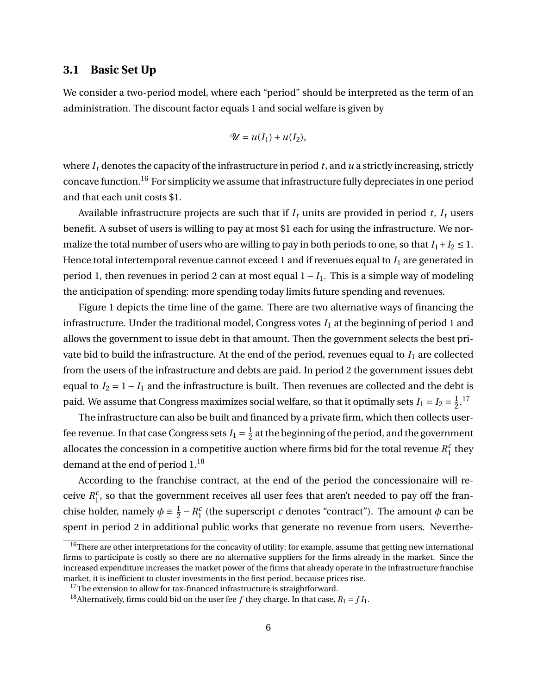### **3.1 Basic Set Up**

We consider a two-period model, where each "period" should be interpreted as the term of an administration. The discount factor equals 1 and social welfare is given by

$$
\mathscr{U}=u(I_1)+u(I_2),
$$

where *I<sup>t</sup>* denotes the capacity of the infrastructure in period *t*, and *u* a strictly increasing, strictly concave function.<sup>16</sup> For simplicity we assume that infrastructure fully depreciates in one period and that each unit costs \$1.

Available infrastructure projects are such that if  $I_t$  units are provided in period  $t$ ,  $I_t$  users benefit. A subset of users is willing to pay at most \$1 each for using the infrastructure. We normalize the total number of users who are willing to pay in both periods to one, so that  $I_1 + I_2 \leq 1$ . Hence total intertemporal revenue cannot exceed 1 and if revenues equal to *I*<sup>1</sup> are generated in period 1, then revenues in period 2 can at most equal 1 − *I*1. This is a simple way of modeling the anticipation of spending: more spending today limits future spending and revenues.

Figure 1 depicts the time line of the game. There are two alternative ways of financing the infrastructure. Under the traditional model, Congress votes  $I_1$  at the beginning of period 1 and allows the government to issue debt in that amount. Then the government selects the best private bid to build the infrastructure. At the end of the period, revenues equal to *I*<sup>1</sup> are collected from the users of the infrastructure and debts are paid. In period 2 the government issues debt equal to  $I_2 = 1 - I_1$  and the infrastructure is built. Then revenues are collected and the debt is paid. We assume that Congress maximizes social welfare, so that it optimally sets  $I_1 = I_2 = \frac{1}{2}$  $\frac{1}{2}$ .<sup>17</sup>

The infrastructure can also be built and financed by a private firm, which then collects userfee revenue. In that case Congress sets  $I_1=\frac{1}{2}$  $\frac{1}{2}$  at the beginning of the period, and the government allocates the concession in a competitive auction where firms bid for the total revenue  $R_1^c$  $\frac{c}{1}$  they demand at the end of period 1.<sup>18</sup>

According to the franchise contract, at the end of the period the concessionaire will receive *R c*  $\frac{c}{1}$ , so that the government receives all user fees that aren't needed to pay off the franchise holder, namely  $\phi \equiv \frac{1}{2}$  $\frac{1}{2} - R_1^c$  $\frac{c}{1}$  (the superscript *c* denotes "contract"). The amount  $\phi$  can be spent in period 2 in additional public works that generate no revenue from users. Neverthe-

 $16$ There are other interpretations for the concavity of utility: for example, assume that getting new international firms to participate is costly so there are no alternative suppliers for the firms already in the market. Since the increased expenditure increases the market power of the firms that already operate in the infrastructure franchise market, it is inefficient to cluster investments in the first period, because prices rise.

 $17$ The extension to allow for tax-financed infrastructure is straightforward.

<sup>&</sup>lt;sup>18</sup> Alternatively, firms could bid on the user fee *f* they charge. In that case,  $R_1 = fI_1$ .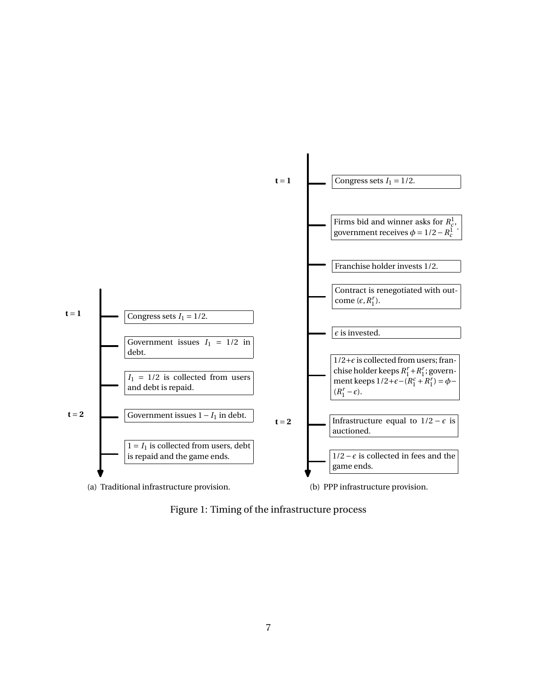

Figure 1: Timing of the infrastructure process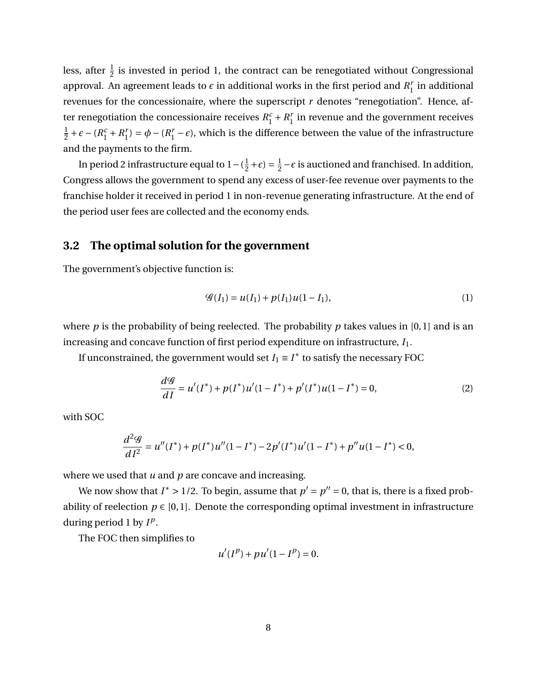less, after  $\frac{1}{2}$  is invested in period 1, the contract can be renegotiated without Congressional approval. An agreement leads to  $\epsilon$  in additional works in the first period and  $R_1^r$  $i<sub>1</sub><sup>r</sup>$  in additional revenues for the concessionaire, where the superscript *r* denotes "renegotiation". Hence, after renegotiation the concessionaire receives  $R_1^c + R_1^r$  $I<sub>1</sub><sup>r</sup>$  in revenue and the government receives 1  $\frac{1}{2} + \epsilon - (R_1^c + R_1^r)$  $\phi_1^r$  =  $\phi$  – ( $R_1^r$  –  $\epsilon$ ), which is the difference between the value of the infrastructure and the payments to the firm.

In period 2 infrastructure equal to  $1 - (\frac{1}{2})$  $(\frac{1}{2} + \epsilon) = \frac{1}{2}$  $\frac{1}{2}$  –  $\epsilon$  is auctioned and franchised. In addition, Congress allows the government to spend any excess of user-fee revenue over payments to the franchise holder it received in period 1 in non-revenue generating infrastructure. At the end of the period user fees are collected and the economy ends.

#### **3.2 The optimal solution for the government**

The government's objective function is:

$$
\mathcal{G}(I_1) = u(I_1) + p(I_1)u(1 - I_1),\tag{1}
$$

where  $p$  is the probability of being reelected. The probability  $p$  takes values in [0, 1] and is an increasing and concave function of first period expenditure on infrastructure, *I*1.

If unconstrained, the government would set  $I_1 \equiv I^*$  to satisfy the necessary FOC

$$
\frac{d\mathcal{G}}{dI} = u'(I^*) + p(I^*)u'(1 - I^*) + p'(I^*)u(1 - I^*) = 0,
$$
\n(2)

with SOC

$$
\frac{d^2\mathcal{G}}{dI^2} = u''(I^*) + p(I^*)u''(1 - I^*) - 2p'(I^*)u'(1 - I^*) + p''u(1 - I^*) < 0,
$$

where we used that *u* and *p* are concave and increasing.

We now show that  $I^* > 1/2$ . To begin, assume that  $p' = p'' = 0$ , that is, there is a fixed probability of reelection  $p \in [0,1]$ . Denote the corresponding optimal investment in infrastructure during period 1 by  $I^p$ .

The FOC then simplifies to

$$
u'(I^{p}) + pu'(1 - I^{p}) = 0.
$$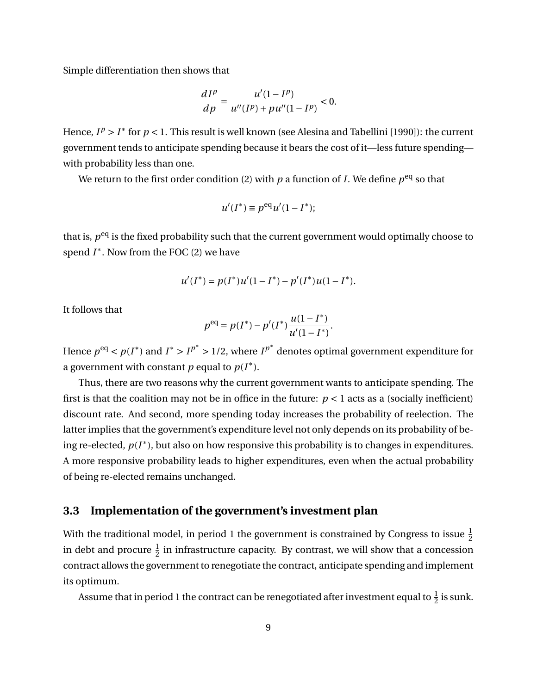Simple differentiation then shows that

$$
\frac{dI^{p}}{dp} = \frac{u'(1 - I^{p})}{u''(I^{p}) + pu''(1 - I^{p})} < 0.
$$

Hence,  $I^p > I^*$  for  $p < 1$ . This result is well known (see Alesina and Tabellini [1990]): the current government tends to anticipate spending because it bears the cost of it—less future spending with probability less than one.

We return to the first order condition (2) with  $p$  a function of *I*. We define  $p^{\rm eq}$  so that

$$
u'(I^*) \equiv p^{\text{eq}} u'(1 - I^*);
$$

that is,  $p<sup>eq</sup>$  is the fixed probability such that the current government would optimally choose to spend *I* ∗ . Now from the FOC (2) we have

$$
u'(I^*) = p(I^*)u'(1 - I^*) - p'(I^*)u(1 - I^*).
$$

It follows that

$$
p^{\text{eq}} = p(I^*) - p'(I^*) \frac{u(1 - I^*)}{u'(1 - I^*)}.
$$

Hence  $p^{eq} < p(I^*)$  and  $I^* > I^{p^*} > 1/2$ , where  $I^{p^*}$  denotes optimal government expenditure for a government with constant  $p$  equal to  $p(I^*)$ .

Thus, there are two reasons why the current government wants to anticipate spending. The first is that the coalition may not be in office in the future:  $p < 1$  acts as a (socially inefficient) discount rate. And second, more spending today increases the probability of reelection. The latter implies that the government's expenditure level not only depends on its probability of being re-elected,  $p(I^*)$ , but also on how responsive this probability is to changes in expenditures. A more responsive probability leads to higher expenditures, even when the actual probability of being re-elected remains unchanged.

### **3.3 Implementation of the government's investment plan**

With the traditional model, in period 1 the government is constrained by Congress to issue  $\frac{1}{2}$ in debt and procure  $\frac{1}{2}$  in infrastructure capacity. By contrast, we will show that a concession contract allows the government to renegotiate the contract, anticipate spending and implement its optimum.

Assume that in period 1 the contract can be renegotiated after investment equal to  $\frac{1}{2}$  is sunk.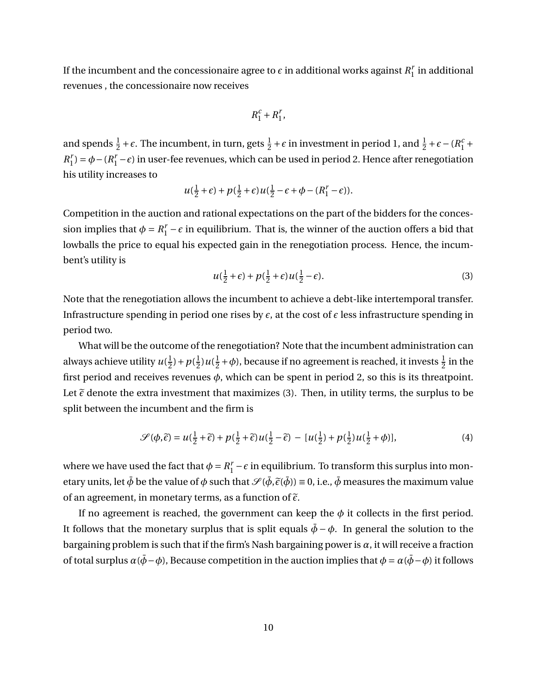If the incumbent and the concessionaire agree to  $\epsilon$  in additional works against  $R_1^r$  $i<sub>1</sub><sup>r</sup>$  in additional revenues , the concessionaire now receives

$$
R_1^c+R_1^r, \quad
$$

and spends  $\frac{1}{2} + \epsilon$ . The incumbent, in turn, gets  $\frac{1}{2} + \epsilon$  in investment in period 1, and  $\frac{1}{2} + \epsilon - (R_1^c +$  $R_1^r$  $\mu_1^r$ ) =  $\phi$  – ( $R_1^r$  –  $\epsilon$ ) in user-fee revenues, which can be used in period 2. Hence after renegotiation his utility increases to

$$
u(\frac{1}{2}+\epsilon)+p(\frac{1}{2}+\epsilon)u(\frac{1}{2}-\epsilon+\phi-(R_1^r-\epsilon)).
$$

Competition in the auction and rational expectations on the part of the bidders for the concession implies that  $\phi = R_1^r - \epsilon$  in equilibrium. That is, the winner of the auction offers a bid that lowballs the price to equal his expected gain in the renegotiation process. Hence, the incumbent's utility is

$$
u(\frac{1}{2}+\epsilon) + p(\frac{1}{2}+\epsilon)u(\frac{1}{2}-\epsilon).
$$
\n(3)

Note that the renegotiation allows the incumbent to achieve a debt-like intertemporal transfer. Infrastructure spending in period one rises by  $\epsilon$ , at the cost of  $\epsilon$  less infrastructure spending in period two.

What will be the outcome of the renegotiation? Note that the incumbent administration can always achieve utility  $u(\frac{1}{2})$  $(\frac{1}{2}) + p(\frac{1}{2})$  $\frac{1}{2}$ )  $u(\frac{1}{2})$  $\frac{1}{2} + \phi$ ), because if no agreement is reached, it invests  $\frac{1}{2}$  in the first period and receives revenues *φ*, which can be spent in period 2, so this is its threatpoint. Let  $\tilde{\epsilon}$  denote the extra investment that maximizes (3). Then, in utility terms, the surplus to be split between the incumbent and the firm is

$$
\mathcal{S}(\phi,\tilde{\epsilon}) = u(\frac{1}{2}+\tilde{\epsilon}) + p(\frac{1}{2}+\tilde{\epsilon})u(\frac{1}{2}-\tilde{\epsilon}) - [u(\frac{1}{2}) + p(\frac{1}{2})u(\frac{1}{2}+\phi)],\tag{4}
$$

where we have used the fact that  $\phi = R_1^r - \epsilon$  in equilibrium. To transform this surplus into monetary units, let  $\bar{\phi}$  be the value of  $\phi$  such that  $\mathcal{S}(\bar{\phi}, \tilde{\epsilon}(\bar{\phi})) = 0$ , i.e.,  $\bar{\phi}$  measures the maximum value of an agreement, in monetary terms, as a function of  $\tilde{\epsilon}$ .

If no agreement is reached, the government can keep the  $\phi$  it collects in the first period. It follows that the monetary surplus that is split equals  $\bar{\phi} - \phi$ . In general the solution to the bargaining problem is such that if the firm's Nash bargaining power is  $\alpha$ , it will receive a fraction of total surplus  $\alpha(\bar{\phi} - \phi)$ , Because competition in the auction implies that  $\phi = \alpha(\bar{\phi} - \phi)$  it follows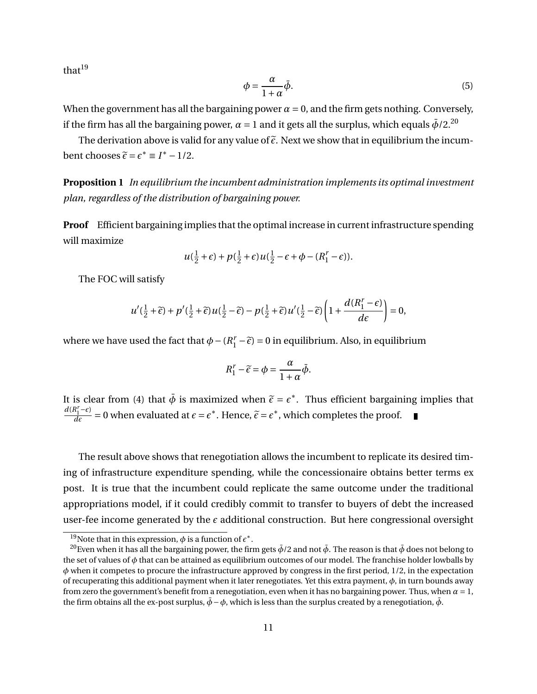$that<sup>19</sup>$ 

$$
\phi = \frac{\alpha}{1 + \alpha} \bar{\phi}.\tag{5}
$$

When the government has all the bargaining power  $\alpha = 0$ , and the firm gets nothing. Conversely, if the firm has all the bargaining power,  $\alpha = 1$  and it gets all the surplus, which equals  $\bar{\phi}/2$ <sup>20</sup>

The derivation above is valid for any value of  $\tilde{\epsilon}$ . Next we show that in equilibrium the incumbent chooses  $\tilde{\epsilon} = \epsilon^* \equiv I^* - 1/2$ .

**Proposition 1** *In equilibrium the incumbent administration implements its optimal investment plan, regardless of the distribution of bargaining power.*

**Proof** Efficient bargaining implies that the optimal increase in current infrastructure spending will maximize

$$
u(\frac{1}{2}+\epsilon)+p(\frac{1}{2}+\epsilon)u(\frac{1}{2}-\epsilon+\phi-(R_1^r-\epsilon)).
$$

The FOC will satisfy

$$
u'(\frac{1}{2}+\widetilde{\epsilon})+p'(\frac{1}{2}+\widetilde{\epsilon})u(\frac{1}{2}-\widetilde{\epsilon})-p(\frac{1}{2}+\widetilde{\epsilon})u'(\frac{1}{2}-\widetilde{\epsilon})\left(1+\frac{d(R_1^r-\epsilon)}{d\epsilon}\right)=0,
$$

where we have used the fact that  $\phi - (R_1^r - \tilde{\epsilon}) = 0$  in equilibrium. Also, in equilibrium

$$
R_1^r - \tilde{\epsilon} = \phi = \frac{\alpha}{1 + \alpha} \bar{\phi}.
$$

It is clear from (4) that  $\bar{\phi}$  is maximized when  $\tilde{\epsilon} = \epsilon^*$ . Thus efficient bargaining implies that  $d(R^r, -\epsilon)$  $d(R_1^r - \epsilon)$  $\frac{R'_1 - \epsilon}{d\epsilon} = 0$  when evaluated at  $\epsilon = \epsilon^*$ . Hence,  $\tilde{\epsilon} = \epsilon^*$ , which completes the proof.

The result above shows that renegotiation allows the incumbent to replicate its desired timing of infrastructure expenditure spending, while the concessionaire obtains better terms ex post. It is true that the incumbent could replicate the same outcome under the traditional appropriations model, if it could credibly commit to transfer to buyers of debt the increased user-fee income generated by the  $\epsilon$  additional construction. But here congressional oversight

<sup>&</sup>lt;sup>19</sup>Note that in this expression,  $\phi$  is a function of  $\epsilon^*$ .

<sup>&</sup>lt;sup>20</sup>Even when it has all the bargaining power, the firm gets  $\bar{\phi}$ /2 and not  $\bar{\phi}$ . The reason is that  $\bar{\phi}$  does not belong to the set of values of *φ* that can be attained as equilibrium outcomes of our model. The franchise holder lowballs by *φ* when it competes to procure the infrastructure approved by congress in the first period, 1/2, in the expectation of recuperating this additional payment when it later renegotiates. Yet this extra payment, *φ*, in turn bounds away from zero the government's benefit from a renegotiation, even when it has no bargaining power. Thus, when *α* = 1, the firm obtains all the ex-post surplus,  $\bar{\phi} - \phi$ , which is less than the surplus created by a renegotiation,  $\bar{\phi}$ .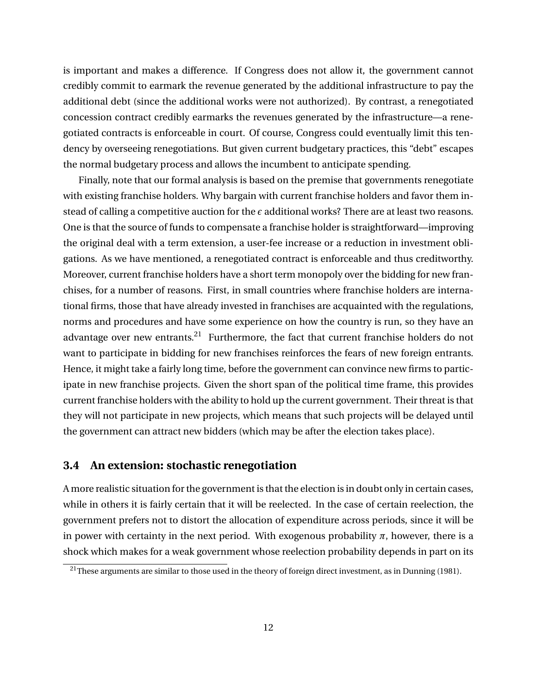is important and makes a difference. If Congress does not allow it, the government cannot credibly commit to earmark the revenue generated by the additional infrastructure to pay the additional debt (since the additional works were not authorized). By contrast, a renegotiated concession contract credibly earmarks the revenues generated by the infrastructure—a renegotiated contracts is enforceable in court. Of course, Congress could eventually limit this tendency by overseeing renegotiations. But given current budgetary practices, this "debt" escapes the normal budgetary process and allows the incumbent to anticipate spending.

Finally, note that our formal analysis is based on the premise that governments renegotiate with existing franchise holders. Why bargain with current franchise holders and favor them instead of calling a competitive auction for the  $\epsilon$  additional works? There are at least two reasons. One is that the source of funds to compensate a franchise holder is straightforward—improving the original deal with a term extension, a user-fee increase or a reduction in investment obligations. As we have mentioned, a renegotiated contract is enforceable and thus creditworthy. Moreover, current franchise holders have a short term monopoly over the bidding for new franchises, for a number of reasons. First, in small countries where franchise holders are international firms, those that have already invested in franchises are acquainted with the regulations, norms and procedures and have some experience on how the country is run, so they have an advantage over new entrants.<sup>21</sup> Furthermore, the fact that current franchise holders do not want to participate in bidding for new franchises reinforces the fears of new foreign entrants. Hence, it might take a fairly long time, before the government can convince new firms to participate in new franchise projects. Given the short span of the political time frame, this provides current franchise holders with the ability to hold up the current government. Their threat is that they will not participate in new projects, which means that such projects will be delayed until the government can attract new bidders (which may be after the election takes place).

#### **3.4 An extension: stochastic renegotiation**

A more realistic situation for the government is that the election is in doubt only in certain cases, while in others it is fairly certain that it will be reelected. In the case of certain reelection, the government prefers not to distort the allocation of expenditure across periods, since it will be in power with certainty in the next period. With exogenous probability  $\pi$ , however, there is a shock which makes for a weak government whose reelection probability depends in part on its

<sup>&</sup>lt;sup>21</sup>These arguments are similar to those used in the theory of foreign direct investment, as in Dunning (1981).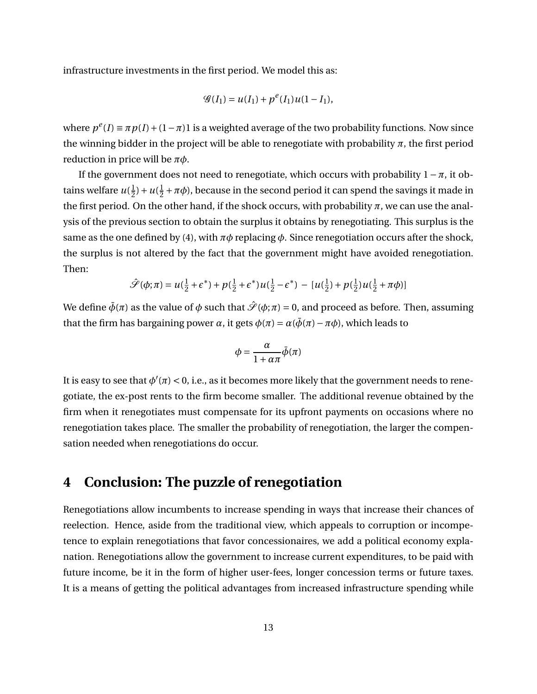infrastructure investments in the first period. We model this as:

$$
\mathcal{G}(I_1) = u(I_1) + p^e(I_1)u(1 - I_1),
$$

where  $p^{e}(I) = \pi p(I) + (1 - \pi)1$  is a weighted average of the two probability functions. Now since the winning bidder in the project will be able to renegotiate with probability *π*, the first period reduction in price will be *πφ*.

If the government does not need to renegotiate, which occurs with probability  $1 - \pi$ , it obtains welfare  $u(\frac{1}{2})$  $(\frac{1}{2})+u(\frac{1}{2})$  $\frac{1}{2} + \pi \phi$ ), because in the second period it can spend the savings it made in the first period. On the other hand, if the shock occurs, with probability  $\pi$ , we can use the analysis of the previous section to obtain the surplus it obtains by renegotiating. This surplus is the same as the one defined by (4), with  $\pi\phi$  replacing  $\phi$ . Since renegotiation occurs after the shock, the surplus is not altered by the fact that the government might have avoided renegotiation. Then:

$$
\hat{\mathcal{S}}(\phi;\pi) = u(\frac{1}{2} + \epsilon^*) + p(\frac{1}{2} + \epsilon^*)u(\frac{1}{2} - \epsilon^*) - [u(\frac{1}{2}) + p(\frac{1}{2})u(\frac{1}{2} + \pi\phi)]
$$

We define  $\bar{\phi}(\pi)$  as the value of  $\phi$  such that  $\hat{\mathcal{S}}(\phi;\pi) = 0$ , and proceed as before. Then, assuming that the firm has bargaining power *α*, it gets  $\phi(\pi) = \alpha(\bar{\phi}(\pi) - \pi \phi)$ , which leads to

$$
\phi = \frac{\alpha}{1 + \alpha \pi} \bar{\phi}(\pi)
$$

It is easy to see that  $\phi'(\pi) < 0$ , i.e., as it becomes more likely that the government needs to renegotiate, the ex-post rents to the firm become smaller. The additional revenue obtained by the firm when it renegotiates must compensate for its upfront payments on occasions where no renegotiation takes place. The smaller the probability of renegotiation, the larger the compensation needed when renegotiations do occur.

### **4 Conclusion: The puzzle of renegotiation**

Renegotiations allow incumbents to increase spending in ways that increase their chances of reelection. Hence, aside from the traditional view, which appeals to corruption or incompetence to explain renegotiations that favor concessionaires, we add a political economy explanation. Renegotiations allow the government to increase current expenditures, to be paid with future income, be it in the form of higher user-fees, longer concession terms or future taxes. It is a means of getting the political advantages from increased infrastructure spending while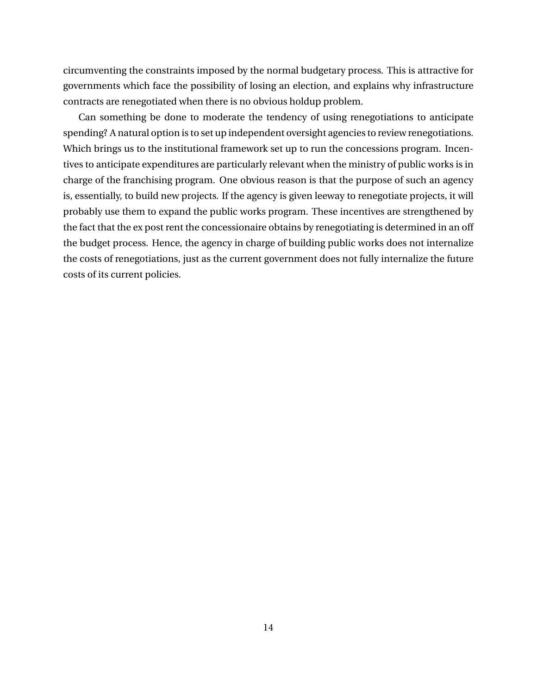circumventing the constraints imposed by the normal budgetary process. This is attractive for governments which face the possibility of losing an election, and explains why infrastructure contracts are renegotiated when there is no obvious holdup problem.

Can something be done to moderate the tendency of using renegotiations to anticipate spending? A natural option is to set up independent oversight agencies to review renegotiations. Which brings us to the institutional framework set up to run the concessions program. Incentives to anticipate expenditures are particularly relevant when the ministry of public works is in charge of the franchising program. One obvious reason is that the purpose of such an agency is, essentially, to build new projects. If the agency is given leeway to renegotiate projects, it will probably use them to expand the public works program. These incentives are strengthened by the fact that the ex post rent the concessionaire obtains by renegotiating is determined in an off the budget process. Hence, the agency in charge of building public works does not internalize the costs of renegotiations, just as the current government does not fully internalize the future costs of its current policies.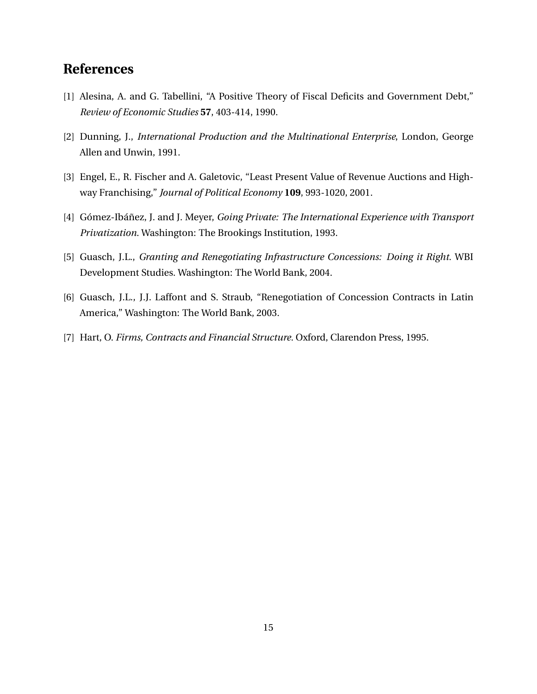# **References**

- [1] Alesina, A. and G. Tabellini, "A Positive Theory of Fiscal Deficits and Government Debt," *Review of Economic Studies* **57**, 403-414, 1990.
- [2] Dunning, J., *International Production and the Multinational Enterprise*, London, George Allen and Unwin, 1991.
- [3] Engel, E., R. Fischer and A. Galetovic, "Least Present Value of Revenue Auctions and Highway Franchising," *Journal of Political Economy* **109**, 993-1020, 2001.
- [4] Gómez-Ibáñez, J. and J. Meyer, *Going Private: The International Experience with Transport Privatization*. Washington: The Brookings Institution, 1993.
- [5] Guasch, J.L., *Granting and Renegotiating Infrastructure Concessions: Doing it Right.* WBI Development Studies. Washington: The World Bank, 2004.
- [6] Guasch, J.L., J.J. Laffont and S. Straub, "Renegotiation of Concession Contracts in Latin America," Washington: The World Bank, 2003.
- [7] Hart, O. *Firms, Contracts and Financial Structure.* Oxford, Clarendon Press, 1995.